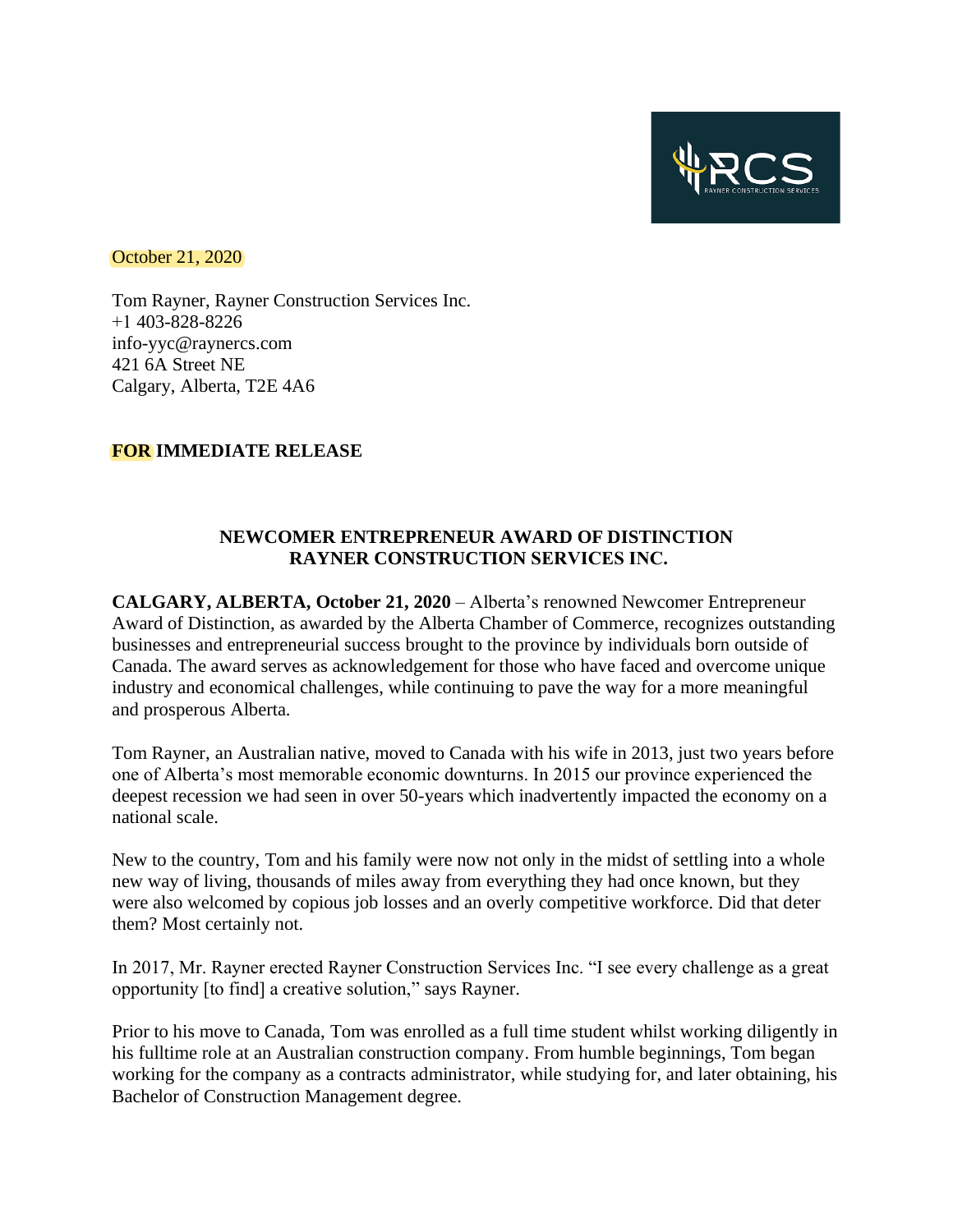

October 21, 2020

Tom Rayner, Rayner Construction Services Inc. +1 403-828-8226 info-yyc@raynercs.com 421 6A Street NE Calgary, Alberta, T2E 4A6

## **FOR IMMEDIATE RELEASE**

## **NEWCOMER ENTREPRENEUR AWARD OF DISTINCTION RAYNER CONSTRUCTION SERVICES INC.**

**CALGARY, ALBERTA, October 21, 2020** – Alberta's renowned Newcomer Entrepreneur Award of Distinction, as awarded by the Alberta Chamber of Commerce, recognizes outstanding businesses and entrepreneurial success brought to the province by individuals born outside of Canada. The award serves as acknowledgement for those who have faced and overcome unique industry and economical challenges, while continuing to pave the way for a more meaningful and prosperous Alberta.

Tom Rayner, an Australian native, moved to Canada with his wife in 2013, just two years before one of Alberta's most memorable economic downturns. In 2015 our province experienced the deepest recession we had seen in over 50-years which inadvertently impacted the economy on a national scale.

New to the country, Tom and his family were now not only in the midst of settling into a whole new way of living, thousands of miles away from everything they had once known, but they were also welcomed by copious job losses and an overly competitive workforce. Did that deter them? Most certainly not.

In 2017, Mr. Rayner erected Rayner Construction Services Inc. "I see every challenge as a great opportunity [to find] a creative solution," says Rayner.

Prior to his move to Canada, Tom was enrolled as a full time student whilst working diligently in his fulltime role at an Australian construction company. From humble beginnings, Tom began working for the company as a contracts administrator, while studying for, and later obtaining, his Bachelor of Construction Management degree.